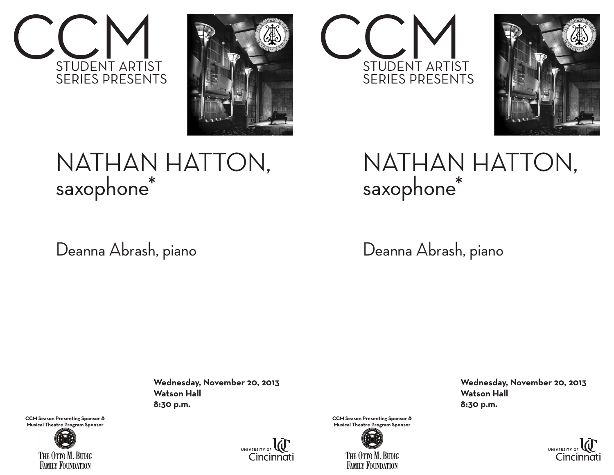



## NATHAN HATTON, saxophone\*

Deanna Abrash, piano

 **Wednesday, November 20, 2013 Watson Hall 8:30 p.m.**



**CCM Season Presenting Sponsor & Musical Theatre Program Sponsor**